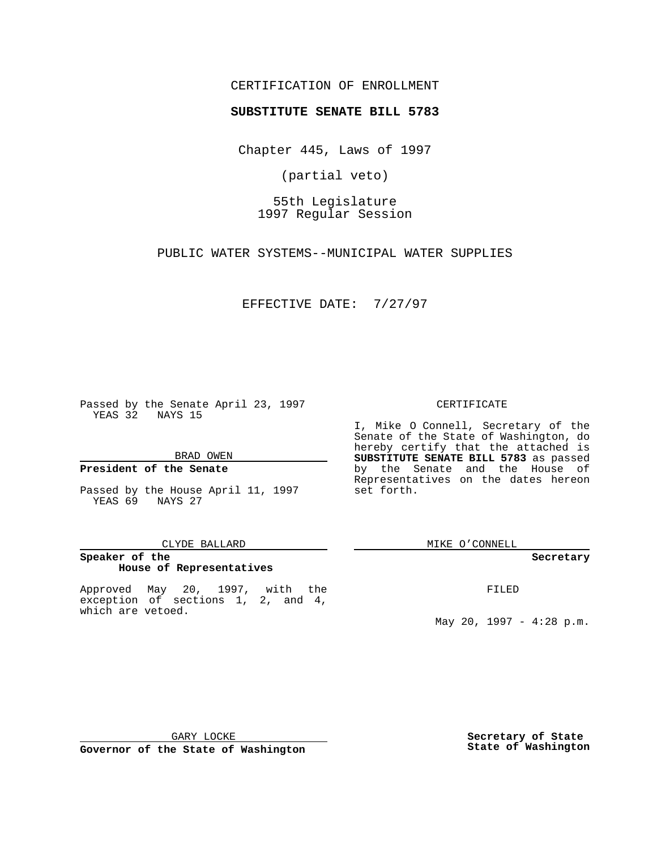## CERTIFICATION OF ENROLLMENT

# **SUBSTITUTE SENATE BILL 5783**

Chapter 445, Laws of 1997

(partial veto)

55th Legislature 1997 Regular Session

PUBLIC WATER SYSTEMS--MUNICIPAL WATER SUPPLIES

EFFECTIVE DATE: 7/27/97

Passed by the Senate April 23, 1997 YEAS 32 NAYS 15

BRAD OWEN

### **President of the Senate**

Passed by the House April 11, 1997 YEAS 69 NAYS 27

#### CLYDE BALLARD

## **Speaker of the House of Representatives**

Approved May 20, 1997, with the exception of sections 1, 2, and 4, which are vetoed.

#### CERTIFICATE

I, Mike O Connell, Secretary of the Senate of the State of Washington, do hereby certify that the attached is **SUBSTITUTE SENATE BILL 5783** as passed by the Senate and the House of Representatives on the dates hereon set forth.

MIKE O'CONNELL

#### **Secretary**

FILED

May 20, 1997 - 4:28 p.m.

GARY LOCKE

**Governor of the State of Washington**

**Secretary of State State of Washington**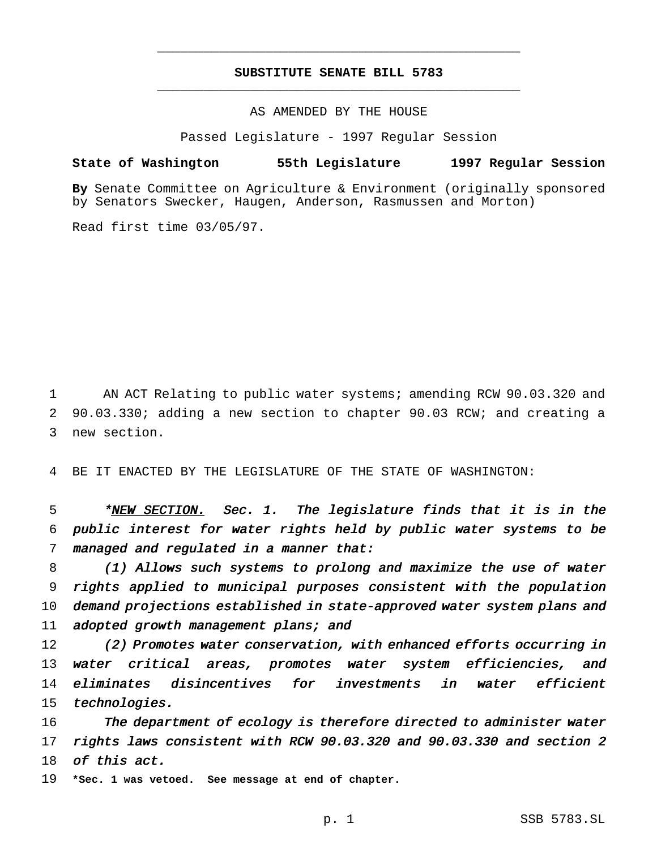## **SUBSTITUTE SENATE BILL 5783** \_\_\_\_\_\_\_\_\_\_\_\_\_\_\_\_\_\_\_\_\_\_\_\_\_\_\_\_\_\_\_\_\_\_\_\_\_\_\_\_\_\_\_\_\_\_\_

\_\_\_\_\_\_\_\_\_\_\_\_\_\_\_\_\_\_\_\_\_\_\_\_\_\_\_\_\_\_\_\_\_\_\_\_\_\_\_\_\_\_\_\_\_\_\_

AS AMENDED BY THE HOUSE

Passed Legislature - 1997 Regular Session

### **State of Washington 55th Legislature 1997 Regular Session**

**By** Senate Committee on Agriculture & Environment (originally sponsored by Senators Swecker, Haugen, Anderson, Rasmussen and Morton)

Read first time 03/05/97.

1 AN ACT Relating to public water systems; amending RCW 90.03.320 and 2 90.03.330; adding a new section to chapter 90.03 RCW; and creating a 3 new section.

4 BE IT ENACTED BY THE LEGISLATURE OF THE STATE OF WASHINGTON:

5 \*NEW SECTION. Sec. 1. The legislature finds that it is in the 6 public interest for water rights held by public water systems to be 7 managed and regulated in a manner that:

 (1) Allows such systems to prolong and maximize the use of water rights applied to municipal purposes consistent with the population demand projections established in state-approved water system plans and 11 adopted growth management plans; and

 (2) Promotes water conservation, with enhanced efforts occurring in water critical areas, promotes water system efficiencies, and 14 eliminates disincentives for investments in water efficient technologies.

16 The department of ecology is therefore directed to administer water 17 rights laws consistent with RCW 90.03.320 and 90.03.330 and section <sup>2</sup> 18 of this act.

19 **\*Sec. 1 was vetoed. See message at end of chapter.**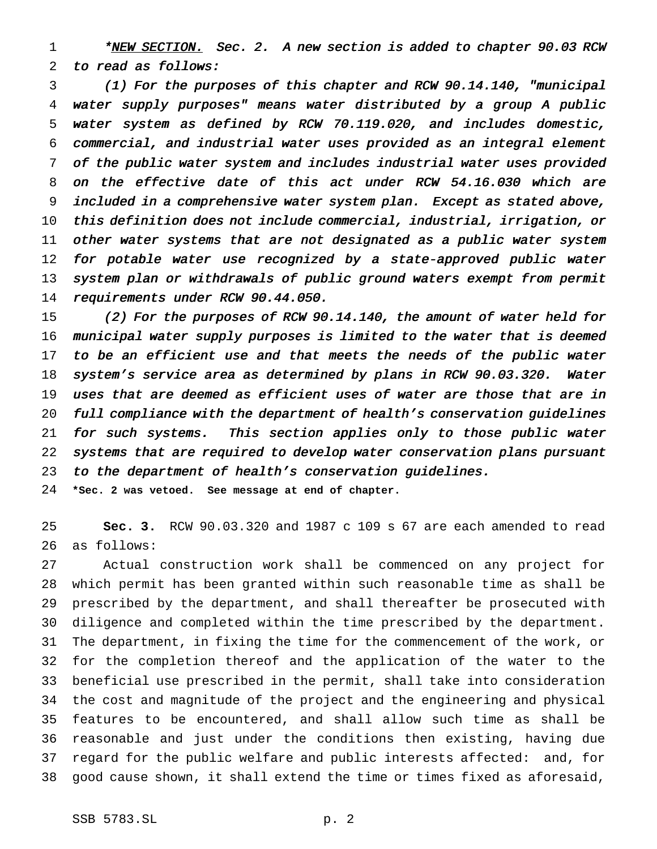1 \*NEW SECTION. Sec. 2. A new section is added to chapter 90.03 RCW to read as follows:

 (1) For the purposes of this chapter and RCW 90.14.140, "municipal water supply purposes" means water distributed by <sup>a</sup> group <sup>A</sup> public water system as defined by RCW 70.119.020, and includes domestic, commercial, and industrial water uses provided as an integral element of the public water system and includes industrial water uses provided on the effective date of this act under RCW 54.16.030 which are included in <sup>a</sup> comprehensive water system plan. Except as stated above, this definition does not include commercial, industrial, irrigation, or other water systems that are not designated as <sup>a</sup> public water system 12 for potable water use recognized by a state-approved public water system plan or withdrawals of public ground waters exempt from permit requirements under RCW 90.44.050.

 (2) For the purposes of RCW 90.14.140, the amount of water held for municipal water supply purposes is limited to the water that is deemed 17 to be an efficient use and that meets the needs of the public water system's service area as determined by plans in RCW 90.03.320. Water uses that are deemed as efficient uses of water are those that are in 20 full compliance with the department of health's conservation guidelines for such systems. This section applies only to those public water systems that are required to develop water conservation plans pursuant to the department of health's conservation guidelines.

**\*Sec. 2 was vetoed. See message at end of chapter.**

 **Sec. 3.** RCW 90.03.320 and 1987 c 109 s 67 are each amended to read as follows:

 Actual construction work shall be commenced on any project for which permit has been granted within such reasonable time as shall be prescribed by the department, and shall thereafter be prosecuted with diligence and completed within the time prescribed by the department. The department, in fixing the time for the commencement of the work, or for the completion thereof and the application of the water to the beneficial use prescribed in the permit, shall take into consideration the cost and magnitude of the project and the engineering and physical features to be encountered, and shall allow such time as shall be reasonable and just under the conditions then existing, having due regard for the public welfare and public interests affected: and, for good cause shown, it shall extend the time or times fixed as aforesaid,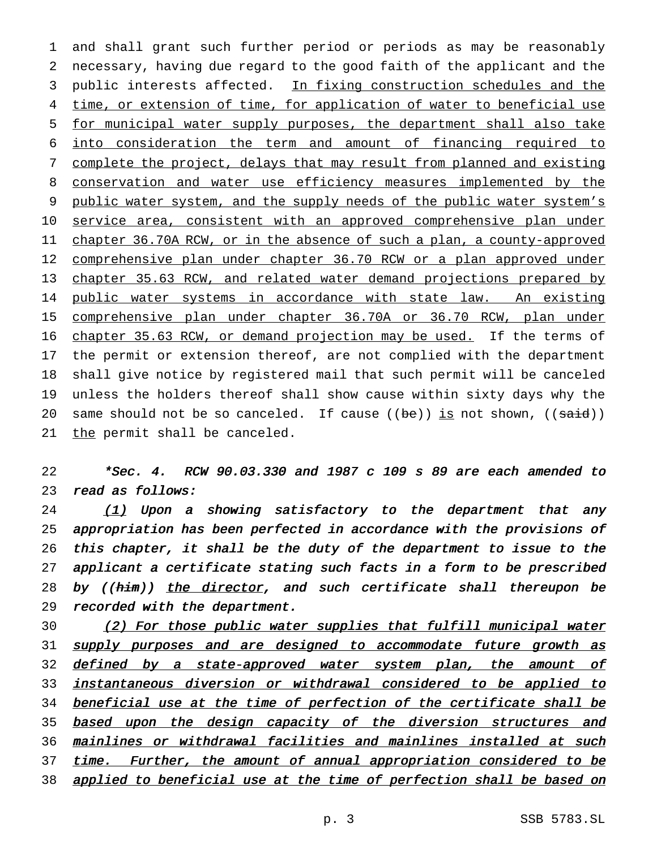1 and shall grant such further period or periods as may be reasonably 2 necessary, having due regard to the good faith of the applicant and the 3 public interests affected. In fixing construction schedules and the 4 time, or extension of time, for application of water to beneficial use 5 for municipal water supply purposes, the department shall also take 6 into consideration the term and amount of financing required to 7 complete the project, delays that may result from planned and existing 8 conservation and water use efficiency measures implemented by the 9 public water system, and the supply needs of the public water system's 10 service area, consistent with an approved comprehensive plan under 11 chapter 36.70A RCW, or in the absence of such a plan, a county-approved 12 comprehensive plan under chapter 36.70 RCW or a plan approved under 13 chapter 35.63 RCW, and related water demand projections prepared by 14 public water systems in accordance with state law. An existing 15 comprehensive plan under chapter 36.70A or 36.70 RCW, plan under 16 chapter 35.63 RCW, or demand projection may be used. If the terms of 17 the permit or extension thereof, are not complied with the department 18 shall give notice by registered mail that such permit will be canceled 19 unless the holders thereof shall show cause within sixty days why the 20 same should not be so canceled. If cause  $((be))$  is not shown,  $((said))$ 21 the permit shall be canceled.

22 \*Sec. 4. RCW 90.03.330 and <sup>1987</sup> <sup>c</sup> <sup>109</sup> <sup>s</sup> <sup>89</sup> are each amended to 23 read as follows:

 (1) Upon a showing satisfactory to the department that any appropriation has been perfected in accordance with the provisions of this chapter, it shall be the duty of the department to issue to the applicant <sup>a</sup> certificate stating such facts in <sup>a</sup> form to be prescribed 28 by ((him)) the director, and such certificate shall thereupon be recorded with the department.

30 (2) For those public water supplies that fulfill municipal water 31 supply purposes and are designed to accommodate future growth as 32 defined by a state-approved water system plan, the amount of 33 instantaneous diversion or withdrawal considered to be applied to 34 beneficial use at the time of perfection of the certificate shall be 35 based upon the design capacity of the diversion structures and 36 mainlines or withdrawal facilities and mainlines installed at such 37 time. Further, the amount of annual appropriation considered to be 38 applied to beneficial use at the time of perfection shall be based on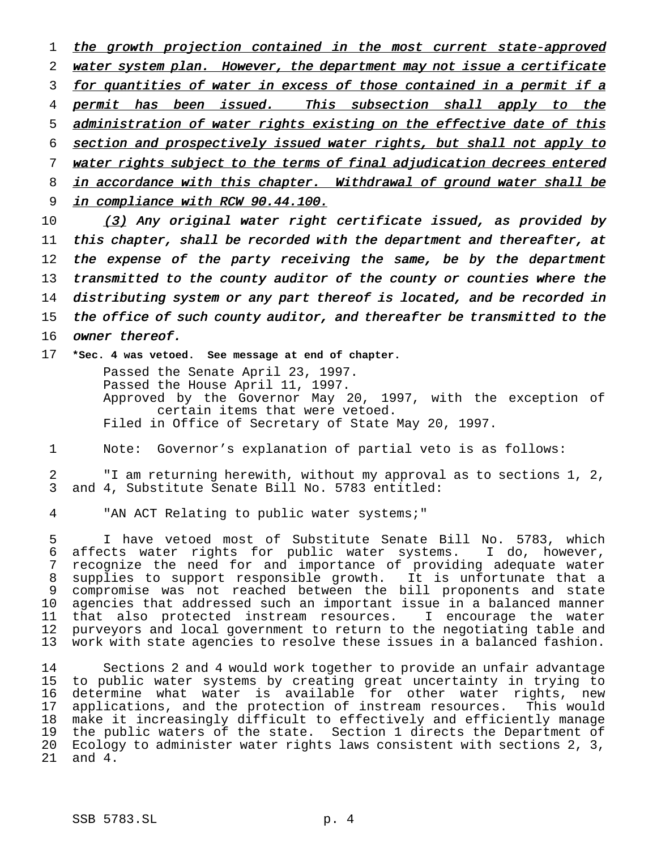1 the growth projection contained in the most current state-approved 2 water system plan. However, the department may not issue a certificate 3 for quantities of water in excess of those contained in a permit if a 4 permit has been issued. This subsection shall apply to the 5 administration of water rights existing on the effective date of this 6 section and prospectively issued water rights, but shall not apply to 7 water rights subject to the terms of final adjudication decrees entered 8 in accordance with this chapter. Withdrawal of ground water shall be 9 in compliance with RCW 90.44.100.

10 (3) Any original water right certificate issued, as provided by 11 this chapter, shall be recorded with the department and thereafter, at 12 the expense of the party receiving the same, be by the department 13 transmitted to the county auditor of the county or counties where the 14 distributing system or any part thereof is located, and be recorded in 15 the office of such county auditor, and thereafter be transmitted to the 16 owner thereof.

17 **\*Sec. 4 was vetoed. See message at end of chapter.**

Passed the Senate April 23, 1997. Passed the House April 11, 1997. Approved by the Governor May 20, 1997, with the exception of certain items that were vetoed. Filed in Office of Secretary of State May 20, 1997.

1 Note: Governor's explanation of partial veto is as follows:

2 "I am returning herewith, without my approval as to sections 1, 2, 3 and 4, Substitute Senate Bill No. 5783 entitled:

4 "AN ACT Relating to public water systems;"

 I have vetoed most of Substitute Senate Bill No. 5783, which affects water rights for public water systems. I do, however, recognize the need for and importance of providing adequate water supplies to support responsible growth. It is unfortunate that a compromise was not reached between the bill proponents and state agencies that addressed such an important issue in a balanced manner that also protected instream resources. I encourage the water purveyors and local government to return to the negotiating table and work with state agencies to resolve these issues in a balanced fashion.

 Sections 2 and 4 would work together to provide an unfair advantage to public water systems by creating great uncertainty in trying to determine what water is available for other water rights, new applications, and the protection of instream resources. This would make it increasingly difficult to effectively and efficiently manage the public waters of the state. Section 1 directs the Department of Ecology to administer water rights laws consistent with sections 2, 3, 21 and 4.